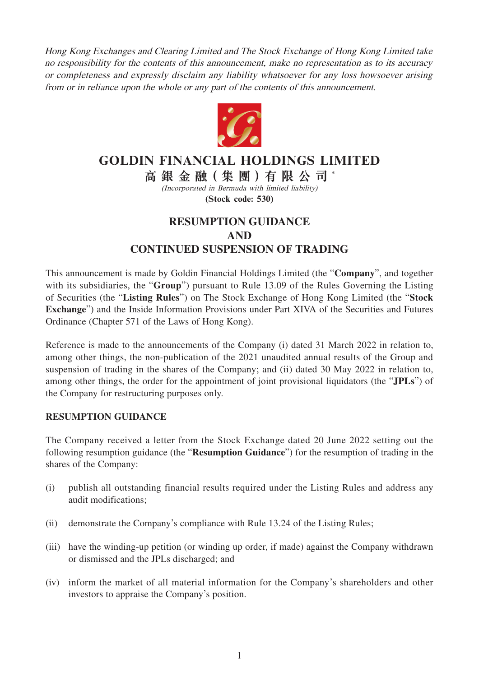Hong Kong Exchanges and Clearing Limited and The Stock Exchange of Hong Kong Limited take no responsibility for the contents of this announcement, make no representation as to its accuracy or completeness and expressly disclaim any liability whatsoever for any loss howsoever arising from or in reliance upon the whole or any part of the contents of this announcement.



# **GOLDIN FINANCIAL HOLDINGS LIMITED**

**高銀金融( 集 團 )有限公司** \* (Incorporated in Bermuda with limited liability)

**(Stock code: 530)**

# **RESUMPTION GUIDANCE AND CONTINUED SUSPENSION OF TRADING**

This announcement is made by Goldin Financial Holdings Limited (the "**Company**", and together with its subsidiaries, the "**Group**") pursuant to Rule 13.09 of the Rules Governing the Listing of Securities (the "**Listing Rules**") on The Stock Exchange of Hong Kong Limited (the "**Stock Exchange**") and the Inside Information Provisions under Part XIVA of the Securities and Futures Ordinance (Chapter 571 of the Laws of Hong Kong).

Reference is made to the announcements of the Company (i) dated 31 March 2022 in relation to, among other things, the non-publication of the 2021 unaudited annual results of the Group and suspension of trading in the shares of the Company; and (ii) dated 30 May 2022 in relation to, among other things, the order for the appointment of joint provisional liquidators (the "**JPLs**") of the Company for restructuring purposes only.

### **RESUMPTION GUIDANCE**

The Company received a letter from the Stock Exchange dated 20 June 2022 setting out the following resumption guidance (the "**Resumption Guidance**") for the resumption of trading in the shares of the Company:

- (i) publish all outstanding financial results required under the Listing Rules and address any audit modifications;
- (ii) demonstrate the Company's compliance with Rule 13.24 of the Listing Rules;
- (iii) have the winding-up petition (or winding up order, if made) against the Company withdrawn or dismissed and the JPLs discharged; and
- (iv) inform the market of all material information for the Company's shareholders and other investors to appraise the Company's position.